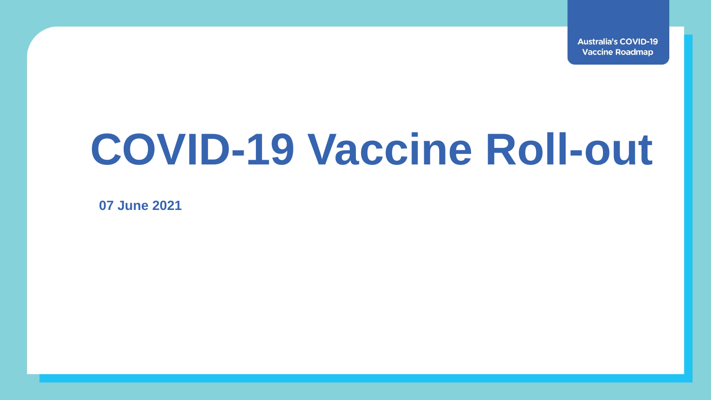**Australia's COVID-19 Vaccine Roadmap** 

# **COVID-19 Vaccine Roll-out**

**07 June 2021**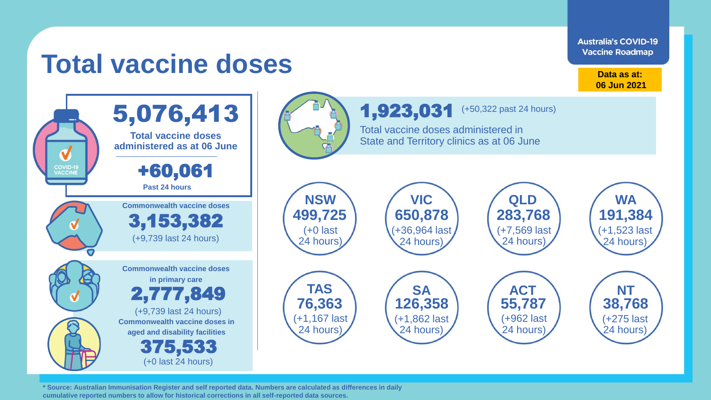**Australia's COVID-19 Vaccine Roadmap** 

# **Total vaccine doses**

**Data as at: 06 Jun 2021**



**\* Source: Australian Immunisation Register and self reported data. Numbers are calculated as differences in daily cumulative reported numbers to allow for historical corrections in all self-reported data sources.**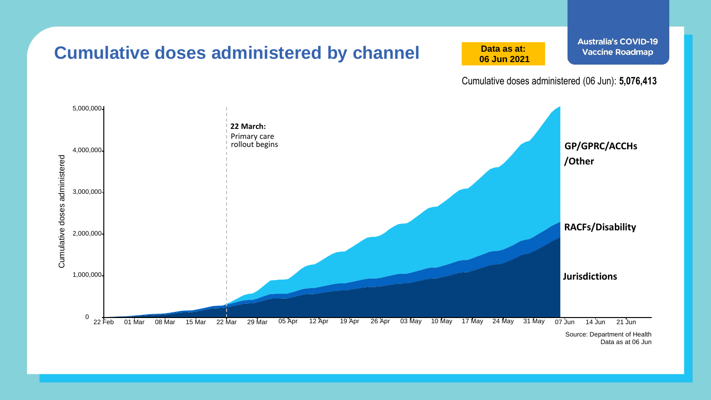

Data as at 06 Jun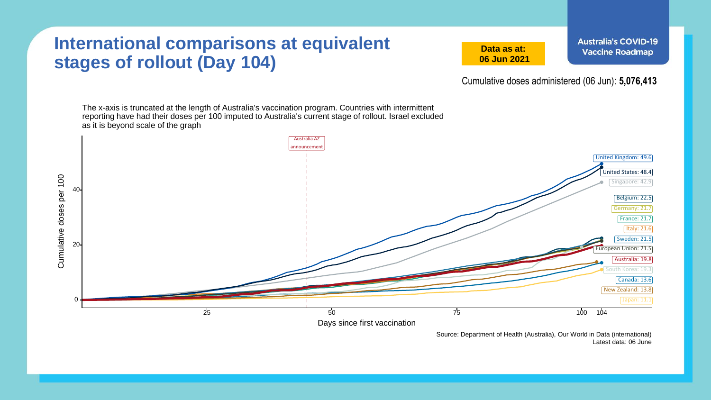#### **International comparisons at equivalent stages of rollout (Day 104)**

**Data as at: 06 Jun 2021** **Australia's COVID-19 Vaccine Roadmap** 

Cumulative doses administered (06 Jun): **5,076,413**

The x-axis is truncated at the length of Australia's vaccination program. Countries with intermittent reporting have had their doses per 100 imputed to Australia's current stage of rollout. Israel excluded as it is beyond scale of the graph



Source: Department of Health (Australia), Our World in Data (international) Latest data: 06 June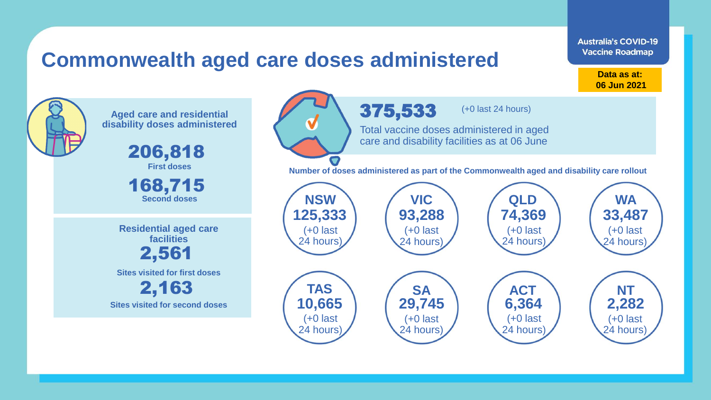### **Commonwealth aged care doses administered**

**Data as at: Data as at: 18 Apr 2021 06 Jun 2021**

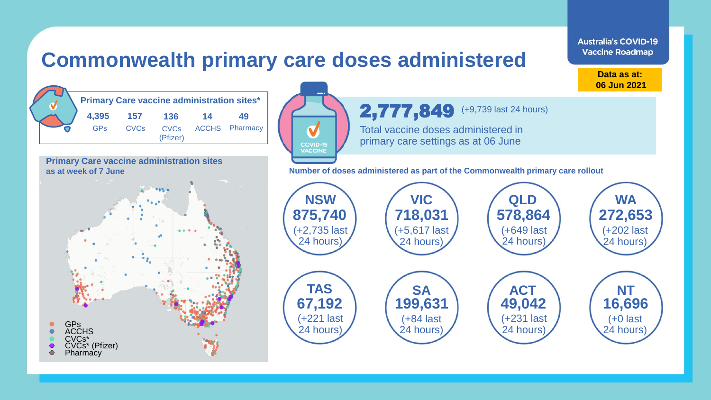### **Commonwealth primary care doses administered**

| <b>Primary Care vaccine administration sites*</b> |             |          |    |                     |  |  |  |
|---------------------------------------------------|-------------|----------|----|---------------------|--|--|--|
| 4,395                                             | 157         | 136      | 14 | 49                  |  |  |  |
| GPs                                               | <b>CVCs</b> | (Pfizer) |    | CVCs ACCHS Pharmacy |  |  |  |

**Primary Care vaccine administration sites as at week of 7 June**





**Data as at: 06 Jun 2021**

**Australia's COVID-19 Vaccine Roadmap** 

**Number of doses administered as part of the Commonwealth primary care rollout**